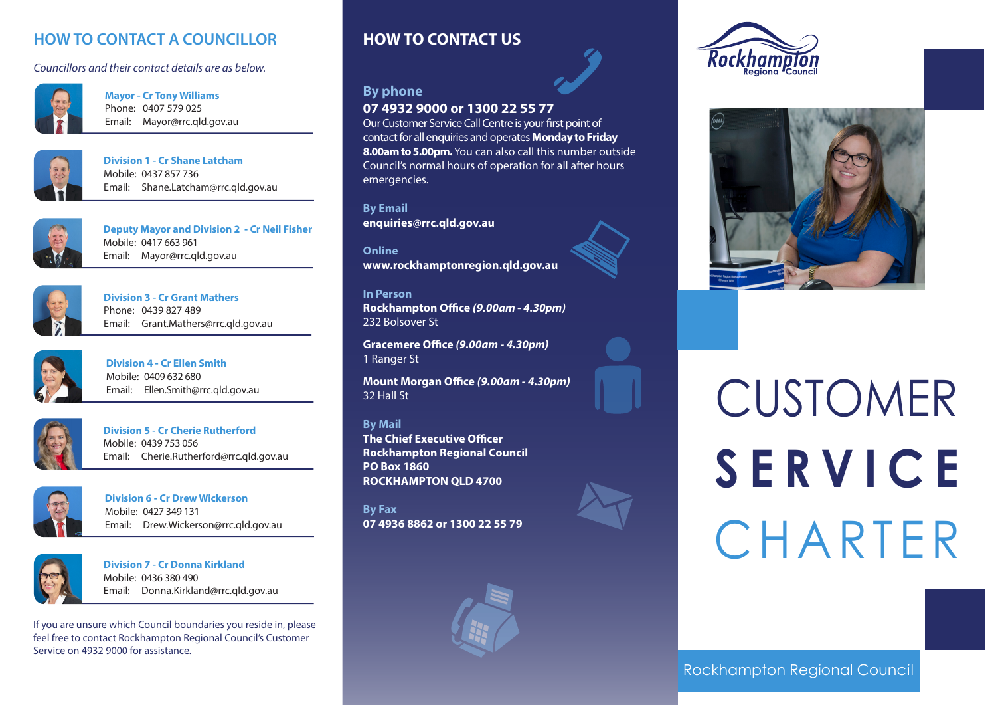# **HOW TO CONTACT A COUNCILLOR**

*Councillors and their contact details are as below.*



**Mayor - Cr Tony Williams** Phone: 0407 579 025 Email: Mayor@rrc.qld.gov.au



**Division 1 - Cr Shane Latcham** Mobile: 0437 857 736 Email: Shane.Latcham@rrc.qld.gov.au



**Deputy Mayor and Division 2 - Cr Neil Fisher** Mobile: 0417 663 961 Email: Mayor@rrc.qld.gov.au



**Division 3 - Cr Grant Mathers** Phone: 0439 827 489 Email: Grant.Mathers@rrc.qld.gov.au



**Division 4 - Cr Ellen Smith** Mobile: 0409 632 680 Email: Ellen.Smith@rrc.qld.gov.au



**Division 5 - Cr Cherie Rutherford** Mobile: 0439 753 056 Email: Cherie.Rutherford@rrc.qld.gov.au



**Division 6 - Cr Drew Wickerson** Mobile: 0427 349 131 Email: Drew.Wickerson@rrc.qld.gov.au



**Division 7 - Cr Donna Kirkland** Mobile: 0436 380 490 Email: Donna.Kirkland@rrc.qld.gov.au

If you are unsure which Council boundaries you reside in, please feel free to contact Rockhampton Regional Council's Customer Service on 4932 9000 for assistance.

# **HOW TO CONTACT US**

# **By phone 07 4932 9000 or 1300 22 55 77**

Our Customer Service Call Centre is your first point of contact for all enquiries and operates **Monday to Friday 8.00am to 5.00pm.** You can also call this number outside Council's normal hours of operation for all after hours emergencies.

**By Email enquiries@rrc.qld.gov.au**

**Online www.rockhamptonregion.qld.gov.au**

**In Person Rockhampton Office** *(9.00am - 4.30pm)* 232 Bolsover St

**Gracemere Office** *(9.00am - 4.30pm)* 1 Ranger St

**Mount Morgan Office** *(9.00am - 4.30pm)* 32 Hall St

**By Mail The Chief Executive Officer Rockhampton Regional Council PO Box 1860 ROCKHAMPTON QLD 4700**

**By Fax 07 4936 8862 or 1300 22 55 79**







# CUSTOMER **SERVICE** CHARTER

Rockhampton Regional Council